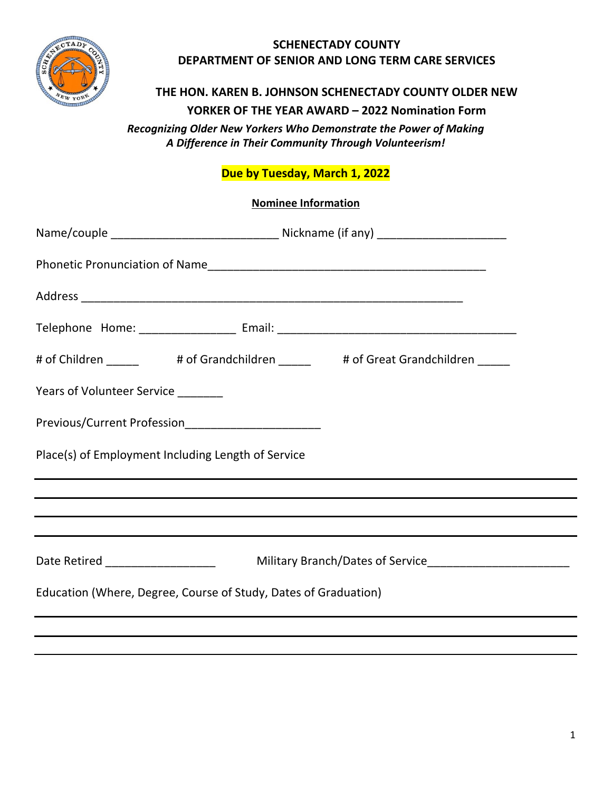

### **SCHENECTADY COUNTY DEPARTMENT OF SENIOR AND LONG TERM CARE SERVICES**

#### **THE HON. KAREN B. JOHNSON SCHENECTADY COUNTY OLDER NEW**

**YORKER OF THE YEAR AWARD – 2022 Nomination Form**

*Recognizing Older New Yorkers Who Demonstrate the Power of Making A Difference in Their Community Through Volunteerism!*

# **Due by Tuesday, March 1, 2022**

|                                                                                                                  | <b>Nominee Information</b> |                                                                                       |  |  |
|------------------------------------------------------------------------------------------------------------------|----------------------------|---------------------------------------------------------------------------------------|--|--|
|                                                                                                                  |                            |                                                                                       |  |  |
|                                                                                                                  |                            |                                                                                       |  |  |
|                                                                                                                  |                            |                                                                                       |  |  |
|                                                                                                                  |                            |                                                                                       |  |  |
|                                                                                                                  |                            | # of Children _______    # of Grandchildren ______    # of Great Grandchildren ______ |  |  |
| Years of Volunteer Service ________                                                                              |                            |                                                                                       |  |  |
| Previous/Current Profession__________________________                                                            |                            |                                                                                       |  |  |
| Place(s) of Employment Including Length of Service                                                               |                            |                                                                                       |  |  |
|                                                                                                                  |                            | ,我们也不会有什么?""我们的人,我们也不会有什么?""我们的人,我们也不会有什么?""我们的人,我们也不会有什么?""我们的人,我们也不会有什么?""我们的人      |  |  |
|                                                                                                                  |                            |                                                                                       |  |  |
| and the control of the control of the control of the control of the control of the control of the control of the |                            |                                                                                       |  |  |
|                                                                                                                  |                            |                                                                                       |  |  |
| Education (Where, Degree, Course of Study, Dates of Graduation)                                                  |                            |                                                                                       |  |  |
|                                                                                                                  |                            |                                                                                       |  |  |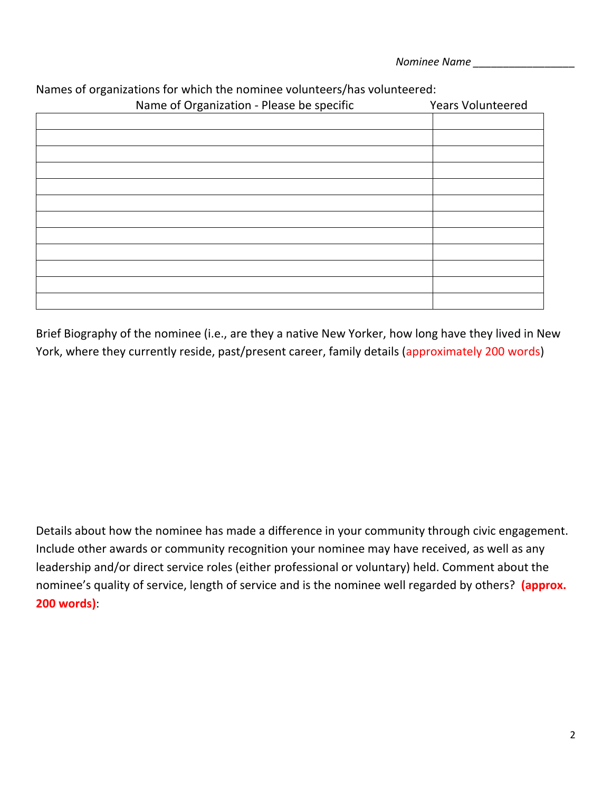*Nominee Name \_\_\_\_\_\_\_\_\_\_\_\_\_\_\_\_\_*

| Name of Organization - Please be specific | <b>Years Volunteered</b> |  |
|-------------------------------------------|--------------------------|--|
|                                           |                          |  |
|                                           |                          |  |
|                                           |                          |  |
|                                           |                          |  |
|                                           |                          |  |
|                                           |                          |  |
|                                           |                          |  |
|                                           |                          |  |
|                                           |                          |  |
|                                           |                          |  |
|                                           |                          |  |
|                                           |                          |  |

## Names of organizations for which the nominee volunteers/has volunteered:

Brief Biography of the nominee (i.e., are they a native New Yorker, how long have they lived in New York, where they currently reside, past/present career, family details (approximately 200 words)

Details about how the nominee has made a difference in your community through civic engagement. Include other awards or community recognition your nominee may have received, as well as any leadership and/or direct service roles (either professional or voluntary) held. Comment about the nominee's quality of service, length of service and is the nominee well regarded by others? **(approx. 200 words)**: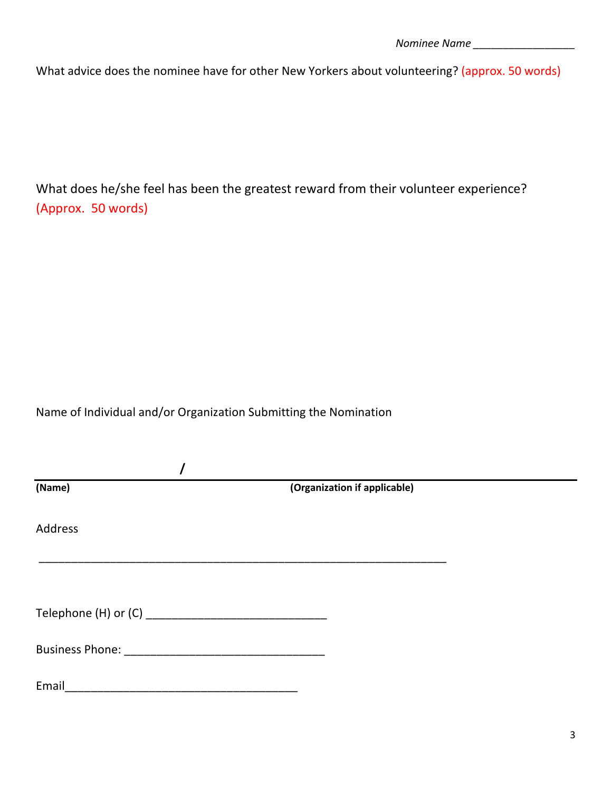What advice does the nominee have for other New Yorkers about volunteering? (approx. 50 words)

What does he/she feel has been the greatest reward from their volunteer experience? (Approx. 50 words)

## Name of Individual and/or Organization Submitting the Nomination

| (Name)  | (Organization if applicable) |
|---------|------------------------------|
| Address |                              |
|         |                              |
|         |                              |
|         |                              |
|         |                              |
| Email   |                              |